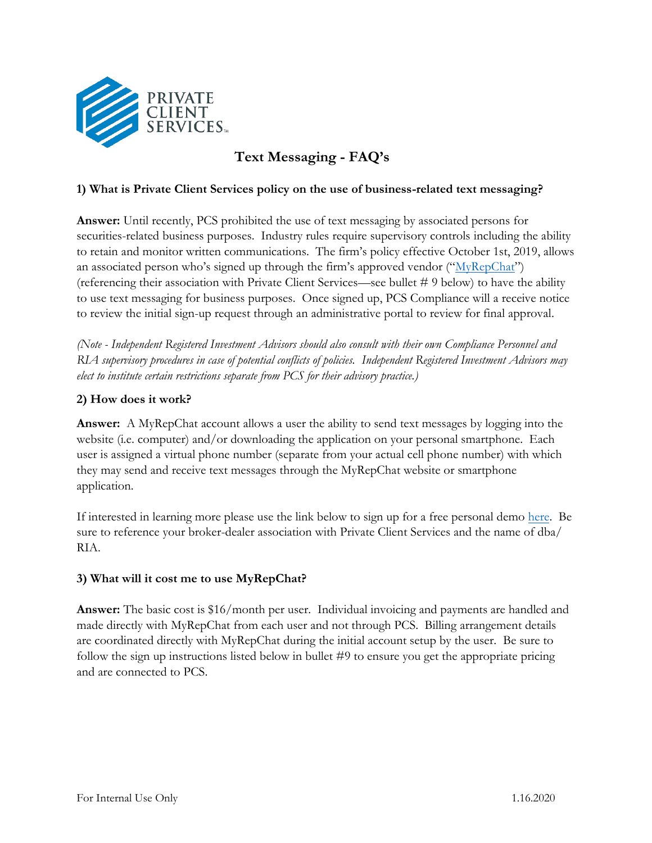

# **Text Messaging - FAQ's**

### **1) What is Private Client Services policy on the use of business-related text messaging?**

**Answer:** Until recently, PCS prohibited the use of text messaging by associated persons for securities-related business purposes. Industry rules require supervisory controls including the ability to retain and monitor written communications. The firm's policy effective October 1st, 2019, allows an associated person who's signed up through the firm's approved vendor (" $MyRepChat$ ") (referencing their association with Private Client Services—see bullet # 9 below) to have the ability to use text messaging for business purposes. Once signed up, PCS Compliance will a receive notice to review the initial sign-up request through an administrative portal to review for final approval.

*(Note - Independent Registered Investment Advisors should also consult with their own Compliance Personnel and RIA supervisory procedures in case of potential conflicts of policies. Independent Registered Investment Advisors may elect to institute certain restrictions separate from PCS for their advisory practice.)*

### **2) How does it work?**

**Answer:** A MyRepChat account allows a user the ability to send text messages by logging into the website (i.e. computer) and/or downloading the application on your personal smartphone. Each user is assigned a virtual phone number (separate from your actual cell phone number) with which they may send and receive text messages through the MyRepChat website or smartphone application.

If interested in learning more please use the link below to sign up for a free personal demo [here.](https://www.ionlake.com/myrepchat/) Be sure to reference your broker-dealer association with Private Client Services and the name of dba/ [RIA](https://mailchi.mp/ionlake.com/privateclientservices).

## **3) What will it cost me to use MyRepChat?**

**Answer:** The basic cost is \$16/month per user. Individual invoicing and payments are handled and made directly with MyRepChat from each user and not through PCS. Billing arrangement details are coordinated directly with MyRepChat during the initial account setup by the user. Be sure to follow the sign up instructions listed below in bullet #9 to ensure you get the appropriate pricing and are connected to PCS.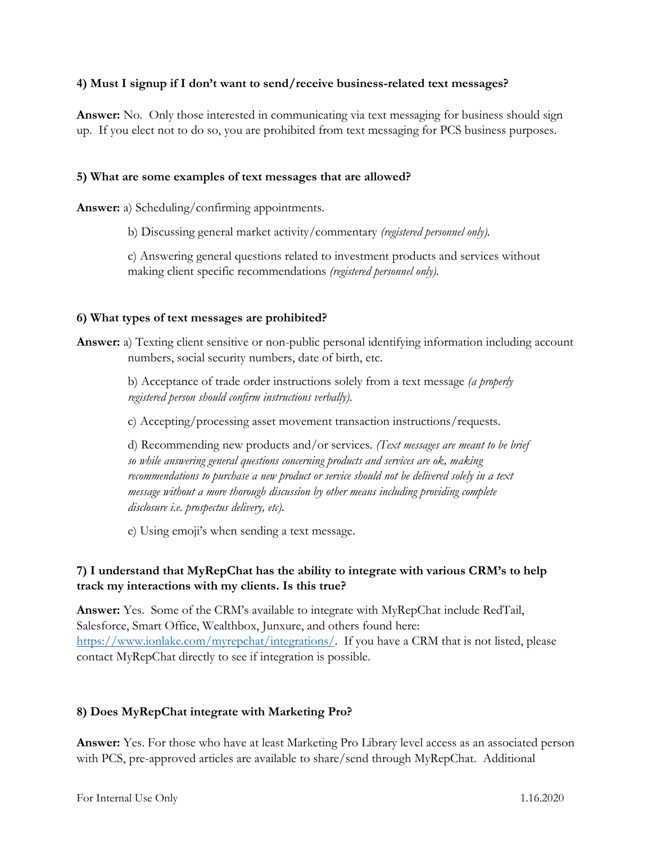### **4) Must I signup if I don't want to send/receive business-related text messages?**

**Answer:** No. Only those interested in communicating via text messaging for business should sign up. If you elect not to do so, you are prohibited from text messaging for PCS business purposes.

#### **5) What are some examples of text messages that are allowed?**

**Answer:** a) Scheduling/confirming appointments.

b) Discussing general market activity/commentary *(registered personnel only).*

c) Answering general questions related to investment products and services without making client specific recommendations *(registered personnel only).*

#### **6) What types of text messages are prohibited?**

**Answer:** a) Texting client sensitive or non-public personal identifying information including account numbers, social security numbers, date of birth, etc.

> b) Acceptance of trade order instructions solely from a text message *(a properly registered person should confirm instructions verbally).*

c) Accepting/processing asset movement transaction instructions/requests.

d) Recommending new products and/or services. *(Text messages are meant to be brief so while answering general questions concerning products and services are ok, making recommendations to purchase a new product or service should not be delivered solely in a text message without a more thorough discussion by other means including providing complete disclosure i.e. prospectus delivery, etc).*

e) Using emoji's when sending a text message.

## **7) I understand that MyRepChat has the ability to integrate with various CRM's to help track my interactions with my clients. Is this true?**

**Answer:** Yes. Some of the CRM's available to integrate with MyRepChat include RedTail, Salesforce, Smart Office, Wealthbox, Junxure, and others found here: [https://www.ionlake.com/myrepchat/integrations/.](https://www.ionlake.com/myrepchat/integrations/) If you have a CRM that is not listed, please contact MyRepChat directly to see if integration is possible.

### **8) Does MyRepChat integrate with Marketing Pro?**

**Answer:** Yes. For those who have at least Marketing Pro Library level access as an associated person with PCS, pre-approved articles are available to share/send through MyRepChat. Additional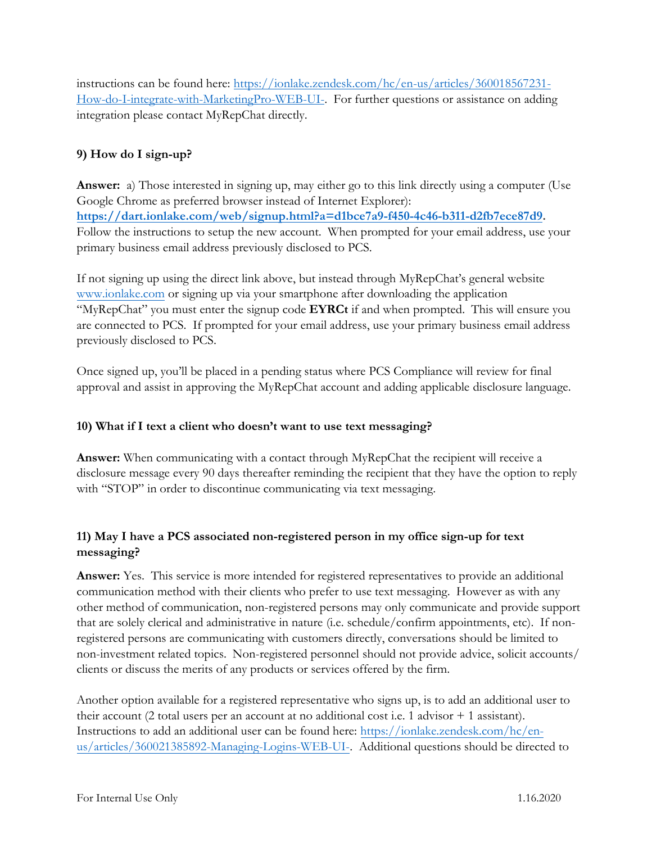instructions can be found here: [https://ionlake.zendesk.com/hc/en-us/articles/360018567231-](https://ionlake.zendesk.com/hc/en-us/articles/360018567231-How-do-I-integrate-with-MarketingPro-WEB-UI-) [How-do-I-integrate-with-MarketingPro-WEB-UI-.](https://ionlake.zendesk.com/hc/en-us/articles/360018567231-How-do-I-integrate-with-MarketingPro-WEB-UI-) For further questions or assistance on adding integration please contact MyRepChat directly.

## **9) How do I sign-up?**

**Answer:** a) Those interested in signing up, may either go to this link directly using a computer (Use Google Chrome as preferred browser instead of Internet Explorer): **[https://dart.ionlake.com/web/signup.html?a=d1bce7a9-f450-4c46-b311-d2fb7ece87d9.](https://dart.ionlake.com/web/signup.html?a=d1bce7a9-f450-4c46-b311-d2fb7ece87d9)**  Follow the instructions to setup the new account. When prompted for your email address, use your primary business email address previously disclosed to PCS.

If not signing up using the direct link above, but instead through MyRepChat's general website [www.ionlake.com](http://www.ionlake.com/) or signing up via your smartphone after downloading the application "MyRepChat" you must enter the signup code **EYRCt** if and when prompted. This will ensure you are connected to PCS. If prompted for your email address, use your primary business email address previously disclosed to PCS.

Once signed up, you'll be placed in a pending status where PCS Compliance will review for final approval and assist in approving the MyRepChat account and adding applicable disclosure language.

## **10) What if I text a client who doesn't want to use text messaging?**

**Answer:** When communicating with a contact through MyRepChat the recipient will receive a disclosure message every 90 days thereafter reminding the recipient that they have the option to reply with "STOP" in order to discontinue communicating via text messaging.

## **11) May I have a PCS associated non-registered person in my office sign-up for text messaging?**

**Answer:** Yes. This service is more intended for registered representatives to provide an additional communication method with their clients who prefer to use text messaging. However as with any other method of communication, non-registered persons may only communicate and provide support that are solely clerical and administrative in nature (i.e. schedule/confirm appointments, etc). If nonregistered persons are communicating with customers directly, conversations should be limited to non-investment related topics. Non-registered personnel should not provide advice, solicit accounts/ clients or discuss the merits of any products or services offered by the firm.

Another option available for a registered representative who signs up, is to add an additional user to their account (2 total users per an account at no additional cost i.e. 1 advisor + 1 assistant). Instructions to add an additional user can be found here: [https://ionlake.zendesk.com/hc/en](https://us-west-2.protection.sophos.com/?d=zendesk.com&u=aHR0cHM6Ly9pb25sYWtlLnplbmRlc2suY29tL2hjL2VuLXVzL2FydGljbGVzLzM2MDAyMTM4NTg5Mi1NYW5hZ2luZy1Mb2dpbnMtV0VCLVVJLQ==&e=c293ZW5AcGNzYmQubmV0&h=6e7ea8e8e2624765b112763ef1bef770&t=cnJlZVg2bVRsaTY2eEFINHBpZ1lXTG9QL2tuanBnMkREaHFNeFoxTzdyMD0=)[us/articles/360021385892-Managing-Logins-WEB-UI-.](https://us-west-2.protection.sophos.com/?d=zendesk.com&u=aHR0cHM6Ly9pb25sYWtlLnplbmRlc2suY29tL2hjL2VuLXVzL2FydGljbGVzLzM2MDAyMTM4NTg5Mi1NYW5hZ2luZy1Mb2dpbnMtV0VCLVVJLQ==&e=c293ZW5AcGNzYmQubmV0&h=6e7ea8e8e2624765b112763ef1bef770&t=cnJlZVg2bVRsaTY2eEFINHBpZ1lXTG9QL2tuanBnMkREaHFNeFoxTzdyMD0=) Additional questions should be directed to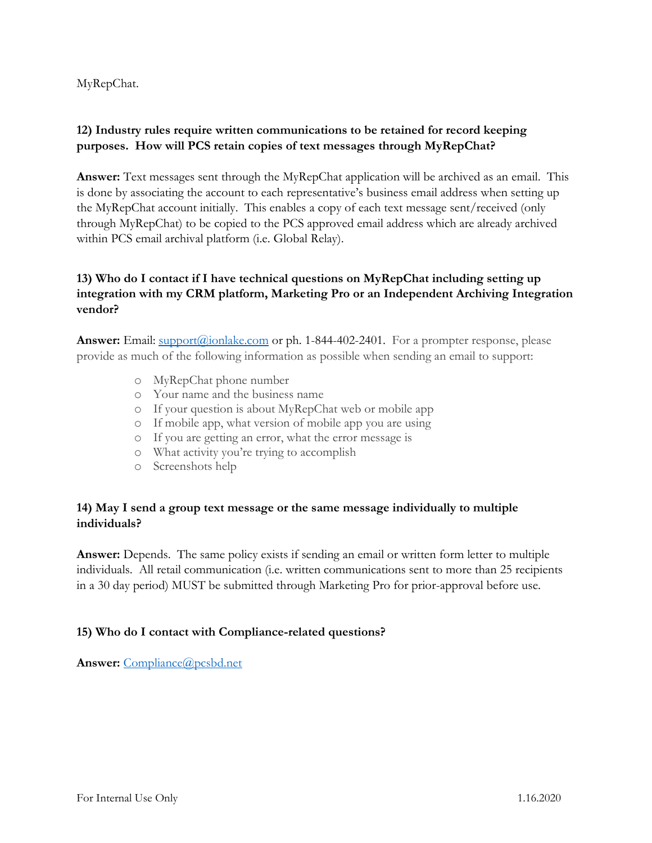MyRepChat.

## **12) Industry rules require written communications to be retained for record keeping purposes. How will PCS retain copies of text messages through MyRepChat?**

**Answer:** Text messages sent through the MyRepChat application will be archived as an email. This is done by associating the account to each representative's business email address when setting up the MyRepChat account initially. This enables a copy of each text message sent/received (only through MyRepChat) to be copied to the PCS approved email address which are already archived within PCS email archival platform (i.e. Global Relay).

## **13) Who do I contact if I have technical questions on MyRepChat including setting up integration with my CRM platform, Marketing Pro or an Independent Archiving Integration vendor?**

**Answer:** Email: support(*a*)ionlake.com or ph. 1-844-402-2401. For a prompter response, please provide as much of the following information as possible when sending an email to support:

- o MyRepChat phone number
- o Your name and the business name
- o If your question is about MyRepChat web or mobile app
- o If mobile app, what version of mobile app you are using
- o If you are getting an error, what the error message is
- o What activity you're trying to accomplish
- o Screenshots help

### **14) May I send a group text message or the same message individually to multiple individuals?**

**Answer:** Depends. The same policy exists if sending an email or written form letter to multiple individuals. All retail communication (i.e. written communications sent to more than 25 recipients in a 30 day period) MUST be submitted through Marketing Pro for prior-approval before use.

## **15) Who do I contact with Compliance-related questions?**

Answer: Compliance@pcsbd.net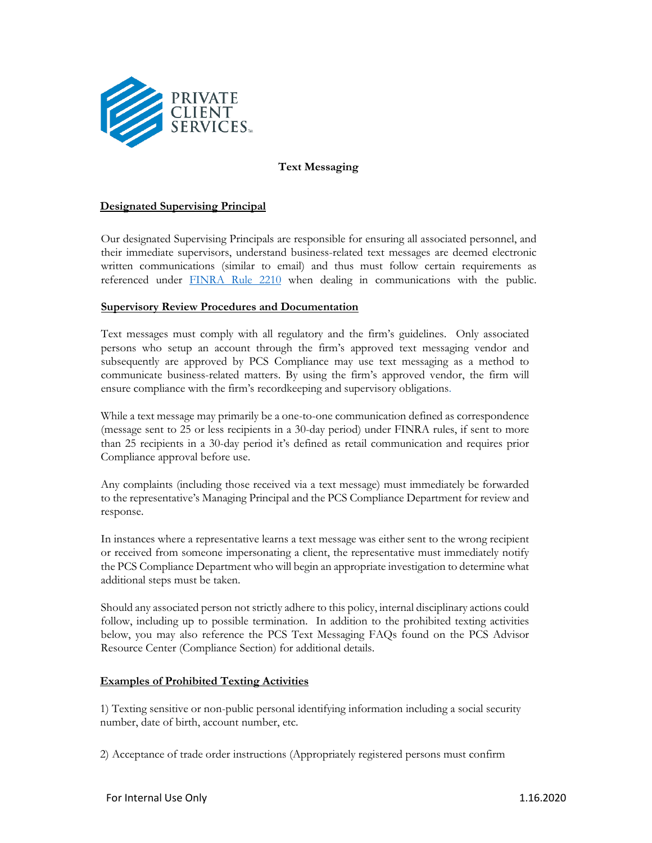

### **Text Messaging**

#### **Designated Supervising Principal**

Our designated Supervising Principals are responsible for ensuring all associated personnel, and their immediate supervisors, understand business-related text messages are deemed electronic written communications (similar to email) and thus must follow certain requirements as referenced under [FINRA Rule 2210](https://www.finra.org/rules-guidance/rulebooks/finra-rules/2210) when dealing in communications with the public.

#### **Supervisory Review Procedures and Documentation**

Text messages must comply with all regulatory and the firm's guidelines. Only associated persons who setup an account through the firm's approved text messaging vendor and subsequently are approved by PCS Compliance may use text messaging as a method to communicate business-related matters. By using the firm's approved vendor, the firm will ensure compliance with the firm's recordkeeping and supervisory obligations.

While a text message may primarily be a one-to-one communication defined as correspondence (message sent to 25 or less recipients in a 30-day period) under FINRA rules, if sent to more than 25 recipients in a 30-day period it's defined as retail communication and requires prior Compliance approval before use.

Any complaints (including those received via a text message) must immediately be forwarded to the representative's Managing Principal and the PCS Compliance Department for review and response.

In instances where a representative learns a text message was either sent to the wrong recipient or received from someone impersonating a client, the representative must immediately notify the PCS Compliance Department who will begin an appropriate investigation to determine what additional steps must be taken.

Should any associated person not strictly adhere to this policy, internal disciplinary actions could follow, including up to possible termination. In addition to the prohibited texting activities below, you may also reference the PCS Text Messaging FAQs found on the PCS Advisor Resource Center (Compliance Section) for additional details.

#### **Examples of Prohibited Texting Activities**

1) Texting sensitive or non-public personal identifying information including a social security number, date of birth, account number, etc.

2) Acceptance of trade order instructions (Appropriately registered persons must confirm